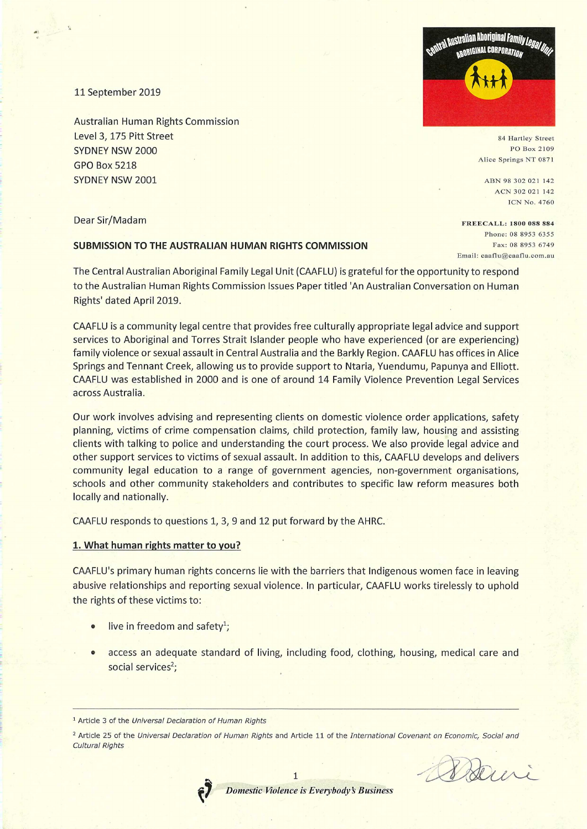11 September 2019

Australian Human Rights Commission Level 3, 175 Pitt Street SYDNEY NSW 2000 GPO Box 5218 SYDNEY NSW 2001

Dear Sir/Madam

# **SUBMISSION TO THE AUSTRALIAN HUMAN RIGHTS COMMISSION**

The Central Australian Aboriginal Family Legal Unit (CAAFLU) is grateful for the opportunity to respond to the Australian Human Rights Commission Issues Paper titled 'An Australian Conversation on Human Rights' dated April 2019.

CAAFLU is a community legal centre that provides free culturally appropriate legal advice and support services to Aboriginal and Torres Strait Islander people who have experienced (or are experiencing) family violence or sexual assault in Central Australia and the Barkly Region. CAAFLU has offices in Alice Springs and Tennant Creek, allowing us to provide support to Ntaria, Yuendumu, Papunya and Elliott. CAAFLU was established in 2000 and is one of around 14 Family Violence Prevention Legal Services across Australia.

Our work involves advising and representing clients on domestic violence order applications, safety planning, victims of crime compensation claims, child protection, family law, housing and assisting clients with talking to police and understanding the court process. We also provide legal advice and other support services to victims of sexual assault. In addition to this, CAAFLU develops and delivers community legal education to a range of government agencies, non-government organisations, schools and other community stakeholders and contributes to specific law reform measures both locally and nationally.

CAAFLU responds to questions 1, 3, 9 and 12 put forward by the AHRC.

### **1. What human rights matter to you?**

CAAFLU's primary human rights concerns lie with the barriers that Indigenous women face in leaving abusive relationships and reporting sexual violence. In particular, CAAFLU works tirelessly to uphold the rights of these victims to:

- live in freedom and safety<sup>1</sup>;
- access an adequate standard of living, including food, clothing, housing, medical care and social services<sup>2</sup>;

*1* 





84 Hartley Street PO Box 2109 Alice Springs NT 0871

ABN 98 302 021 142 ACN 302 021 142 ICN No. 4760

FREECALL: 1800 088 884 Phone: 08 8953 6355 Fax: 08 8953 6749 Email: eaaflu@eaaflu.com.au

Bairi

<sup>&</sup>lt;sup>1</sup> Article 3 of the Universal Declaration of Human Rights

<sup>&</sup>lt;sup>2</sup> Article 25 of the Universal Declaration of Human Rights and Article 11 of the International Covenant on Economic, Social and Cultural Rights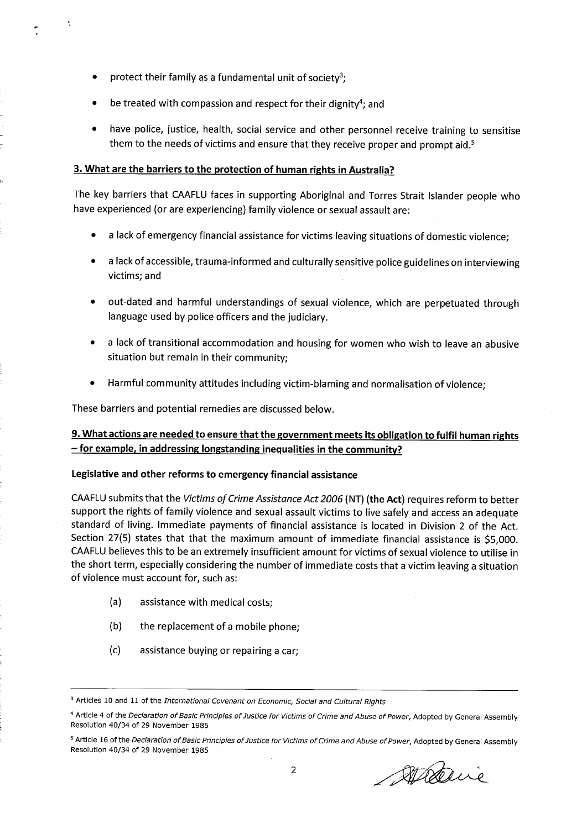protect their family as a fundamental unit of society<sup>3</sup>;

.11

- be treated with compassion and respect for their dignity<sup>4</sup>; and
- have police, justice, health, social service and other personnel receive training to sensitise them to the needs of victims and ensure that they receive proper and prompt aid.<sup>5</sup>

# **3. What are the barriers to the protection of human rights in Australia?**

The key barriers that CAAFLU faces in supporting Aboriginal and Torres Strait Islander people who have experienced (or are experiencing) family violence or sexual assault are:

- a lack of emergency financial assistance for victims leaving situations of domestic violence;
- a lack of accessible, trauma-informed and culturally sensitive police guidelines on interviewing victims; and
- out-dated and harmful understandings of sexual violence, which are perpetuated through language used by police officers and the judiciary.
- a lack of transitional accommodation and housing for women who wish to leave an abusive situation but remain in their community;
- Harmful community attitudes including victim-blaming and normalisation of violence;

These barriers and potential remedies are discussed below.

# **9. What actions are needed to ensure that the government meets its obligation to fulfil human rights — for example, in addressing longstanding inequalities in the community?**

### **Legislative and other reforms to emergency financial assistance**

CAAFLU submits that the *Victims of Crime Assistance Act 2006* **(NT) (the Act)** requires reform to better support the rights of family violence and sexual assault victims to live safely and access an adequate standard of living. Immediate payments of financial assistance is located in Division 2 of the Act. Section 27(5) states that that the maximum amount of immediate financial assistance is \$5,000. CAAFLU believes this to be an extremely insufficient amount for victims of sexual violence to utilise in the short term, especially considering the number of immediate costs that a victim leaving a situation of violence must account for, such as:

- (a) assistance with medical costs;
- (b) the replacement of a mobile phone;
- (c) assistance buying or repairing a car;

Alaire

<sup>&</sup>lt;sup>3</sup> Articles 10 and 11 of the International Covenant on Economic, Social and Cultural Rights

<sup>4</sup> Article 4 of the Declaration of Basic Principles of Justice for Victims of Crime and Abuse of Power, Adopted by General Assembly Resolution 40/34 of 29 November 1985

<sup>&</sup>lt;sup>5</sup> Article 16 of the Declaration of Basic Principles of Justice for Victims of Crime and Abuse of Power, Adopted by General Assembly Resolution 40/34 of 29 November 1985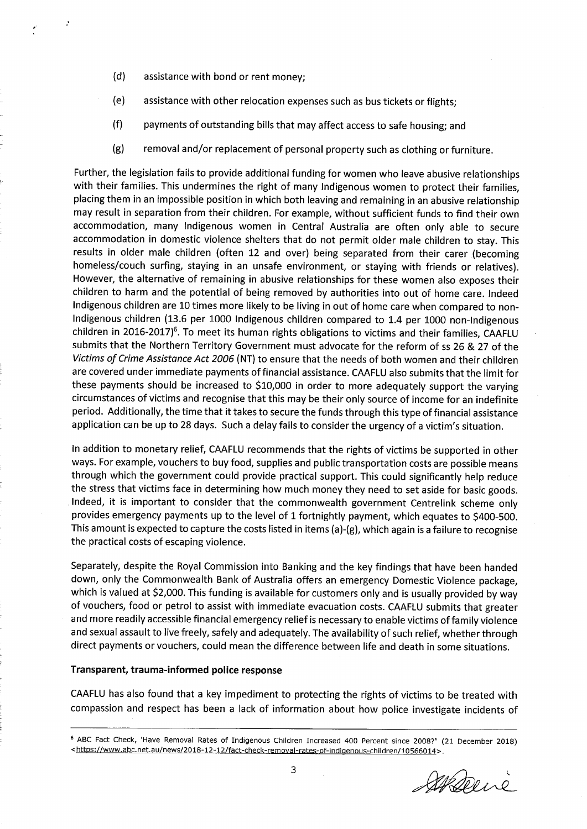- $(d)$ assistance with bond or rent money;
- $(e)$ assistance with other relocation expenses such as bus tickets or flights;
- $(f)$ payments of outstanding bills that may affect access to safe housing; and
- $(g)$ removal and/or replacement of personal property such as clothing or furniture.

Further, the legislation fails to provide additional funding for women who leave abusive relationships with their families. This undermines the right of many Indigenous women to protect their families, placing them in an impossible position in which both leaving and remaining in an abusive relationship may result in separation from their children. For example, without sufficient funds to find their own accommodation, many Indigenous women in Central Australia are often only able to secure accommodation in domestic violence shelters that do not permit older male children to stay. This results in older male children (often 12 and over) being separated from their carer (becoming homeless/couch surfing, staying in an unsafe environment, or staying with friends or relatives). However, the alternative of remaining in abusive relationships for these women also exposes their children to harm and the potential of being removed by authorities into out of home care. Indeed Indigenous children are 10 times more likely to be living in out of home care when compared to non-Indigenous children (13.6 per 1000 Indigenous children compared to 1.4 per 1000 non-Indigenous children in 2016-2017)<sup>6</sup>. To meet its human rights obligations to victims and their families, CAAFLU submits that the Northern Territory Government must advocate for the reform of ss 26 & 27 of the Victims of Crime Assistance Act 2006 (NT) to ensure that the needs of both women and their children are covered under immediate payments of financial assistance. CAAFLU also submits that the limit for these payments should be increased to \$10,000 in order to more adequately support the varying circumstances of victims and recognise that this may be their only source of income for an indefinite period. Additionally, the time that it takes to secure the funds through this type of financial assistance application can be up to 28 days. Such a delay fails to consider the urgency of a victim's situation.

In addition to monetary relief, CAAFLU recommends that the rights of victims be supported in other ways. For example, vouchers to buy food, supplies and public transportation costs are possible means through which the government could provide practical support. This could significantly help reduce the stress that victims face in determining how much money they need to set aside for basic goods. Indeed, it is important to consider that the commonwealth government Centrelink scheme only provides emergency payments up to the level of 1 fortnightly payment, which equates to \$400-500. This amount is expected to capture the costs listed in items (a)-(g), which again is a failure to recognise the practical costs of escaping violence.

Separately, despite the Royal Commission into Banking and the key findings that have been handed down, only the Commonwealth Bank of Australia offers an emergency Domestic Violence package, which is valued at \$2,000. This funding is available for customers only and is usually provided by way of vouchers, food or petrol to assist with immediate evacuation costs. CAAFLU submits that greater and more readily accessible financial emergency relief is necessary to enable victims of family violence and sexual assault to live freely, safely and adequately. The availability of such relief, whether through direct payments or vouchers, could mean the difference between life and death in some situations.

#### **Transparent, trauma-informed police response**

CAAFLU has also found that a key impediment to protecting the rights of victims to be treated with compassion and respect has been a lack of information about how police investigate incidents of

Sterie

<sup>6</sup>ABC Fact Check, 'Have Removal Rates of Indigenous Children Increased 400 Percent since 2008?" (21 December 2018) <https://www.abc.net.au/news/2018-12-12/fact-check-removal-rates-of-indigenous-children/10566014>.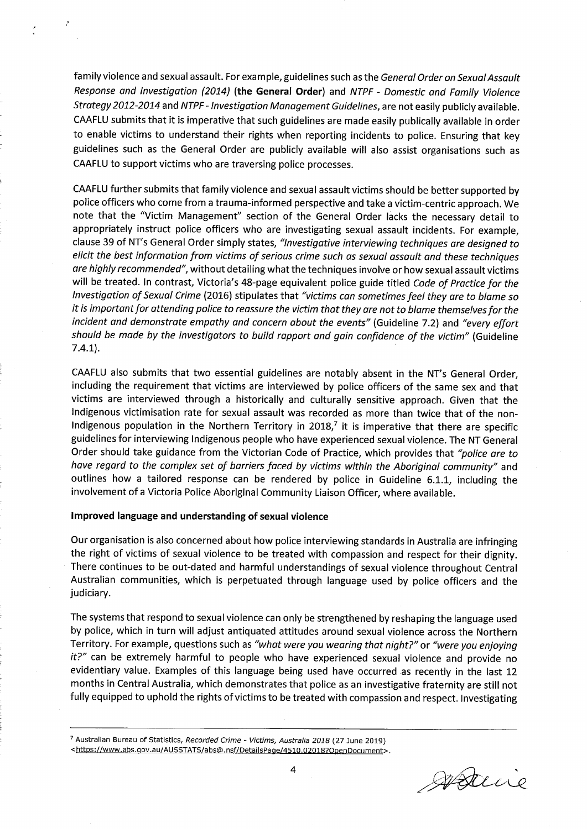family violence and sexual assault. For example, guidelines such as the General Order on Sexual Assault Response and Investigation (2014) **(the General Order)** and NTPF - Domestic and Family Violence Strategy 2012-2014 and NTPF - Investigation Management Guidelines, are not easily publicly available. CAAFLU submits that it is imperative that such guidelines are made easily publically available in order to enable victims to understand their rights when reporting incidents to police. Ensuring that key guidelines such as the General Order are publicly available will also assist organisations such as CAAFLU to support victims who are traversing police processes.

CAAFLU further submits that family violence and sexual assault victims should be better supported by police officers who come from a trauma-informed perspective and take a victim-centric approach. We note that the "Victim Management" section of the General Order lacks the necessary detail to appropriately instruct police officers who are investigating sexual assault incidents. For example, clause 39 of NT's General Order simply states, "Investigative interviewing techniques are designed to elicit the best information from victims of serious crime such as sexual assault and these techniques are highly recommended", without detailing what the techniques involve or how sexual assault victims will be treated. In contrast, Victoria's 48-page equivalent police guide titled Code of Practice for the Investigation of Sexual Crime (2016) stipulates that "victims can sometimes feel they are to blame so it is important for attending police to reassure the victim that they are not to blame themselves for the incident and demonstrate empathy and concern about the events" (Guideline 7.2) and "every effort should be made by the investigators to build rapport and gain confidence of the victim" (Guideline 7.4.1).

CAAFLU also submits that two essential guidelines are notably absent in the NT's General Order, including the requirement that victims are interviewed by police officers of the same sex and that victims are interviewed through a historically and culturally sensitive approach. Given that the Indigenous victimisation rate for sexual assault was recorded as more than twice that of the non-Indigenous population in the Northern Territory in 2018,<sup>7</sup> it is imperative that there are specific guidelines for interviewing Indigenous people who have experienced sexual violence. The NT General Order should take guidance from the Victorian Code of Practice, which provides that "police are to have regard to the complex set of barriers faced by victims within the Aboriginal community" and outlines how a tailored response can be rendered by police in Guideline 6.1.1, including the involvement of a Victoria Police Aboriginal Community Liaison Officer, where available.

#### **Improved language and understanding of sexual violence**

Our organisation is also concerned about how police interviewing standards in Australia are infringing the right of victims of sexual violence to be treated with compassion and respect for their dignity. There continues to be out-dated and harmful understandings of sexual violence throughout Central Australian communities, which is perpetuated through language used by police officers and the judiciary.

The systems that respond to sexual violence can only be strengthened by reshaping the language used by police, which in turn will adjust antiquated attitudes around sexual violence across the Northern Territory. For example, questions such as "what were you wearing that night?" or "were you enjoying  $it?$ " can be extremely harmful to people who have experienced sexual violence and provide no evidentiary value. Examples of this language being used have occurred as recently in the last 12 months in Central Australia, which demonstrates that police as an investigative fraternity are still not fully equipped to uphold the rights of victims to be treated with compassion and respect. Investigating

<sup>7</sup> Australian Bureau of Statistics, Recorded Crime - Victims, Australia 2018 (27 June 2019) <https://www.abs.gov.au/AUSSTATS/abs@.nsf/DetailsPage/4510.02018?OpenDocument>.

gysteine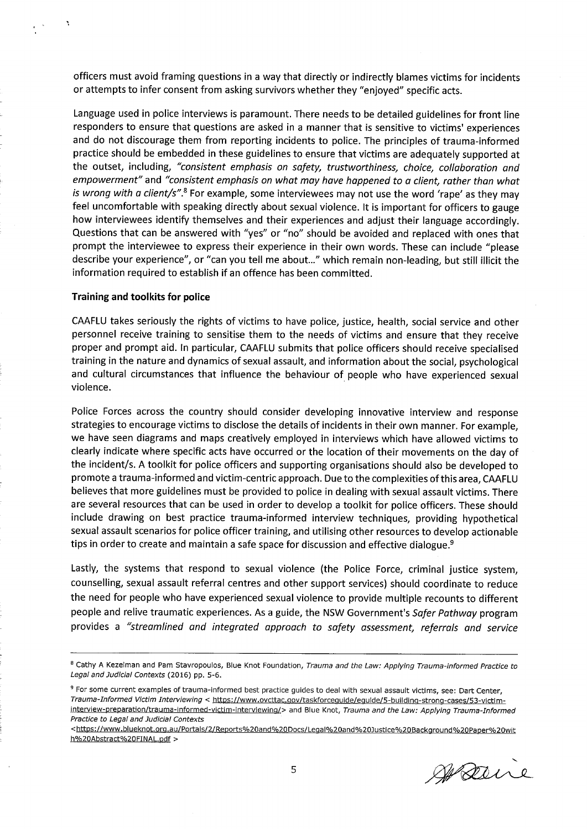officers must avoid framing questions in a way that directly or indirectly blames victims for incidents or attempts to infer consent from asking survivors whether they "enjoyed" specific acts.

Language used in police interviews is paramount. There needs to be detailed guidelines for front line responders to ensure that questions are asked in a manner that is sensitive to victims' experiences and do not discourage them from reporting incidents to police. The principles of trauma-informed practice should be embedded in these guidelines to ensure that victims are adequately supported at the outset, including, "consistent emphasis on safety, trustworthiness, choice, collaboration and empowerment" and "consistent emphasis on what may have happened to a client, rather than what is wrong with a client/s".<sup>8</sup> For example, some interviewees may not use the word 'rape' as they may feel uncomfortable with speaking directly about sexual violence. It is important for officers to gauge how interviewees identify themselves and their experiences and adjust their language accordingly. Questions that can be answered with "yes" or "no" should be avoided and replaced with ones that prompt the interviewee to express their experience in their own words. These can include "please describe your experience", or "can you tell me about..." which remain non-leading, but still illicit the information required to establish if an offence has been committed.

#### **Training and toolkits for police**

CAAFLU takes seriously the rights of victims to have police, justice, health, social service and other personnel receive training to sensitise them to the needs of victims and ensure that they receive proper and prompt aid. In particular, CAAFLU submits that police officers should receive specialised training in the nature and dynamics of sexual assault, and information about the social, psychological and cultural circumstances that influence the behaviour of people who have experienced sexual violence.

Police Forces across the country should consider developing innovative interview and response strategies to encourage victims to disclose the details of incidents in their own manner. For example, we have seen diagrams and maps creatively employed in interviews which have allowed victims to clearly indicate where specific acts have occurred or the location of their movements on the day of the incident/s. A toolkit for police officers and supporting organisations should also be developed to promote a trauma-informed and victim-centric approach. Due to the complexities of this area, CAAFLU believes that more guidelines must be provided to police in dealing with sexual assault victims. There are several resources that can be used in order to develop a toolkit for police officers. These should include drawing on best practice trauma-informed interview techniques, providing hypothetical sexual assault scenarios for police officer training, and utilising other resources to develop actionable tips in order to create and maintain a safe space for discussion and effective dialogue.<sup>9</sup>

Lastly, the systems that respond to sexual violence (the Police Force, criminal justice system, counselling, sexual assault referral centres and other support services) should coordinate to reduce the need for people who have experienced sexual violence to provide multiple recounts to different people and relive traumatic experiences. As a guide, the NSW Government's Safer Pathway program provides a "streamlined and integrated approach to safety assessment, referrals and service

Warne

<sup>&</sup>lt;sup>8</sup> Cathy A Kezelman and Pam Stavropoulos, Blue Knot Foundation, Trauma and the Law: Applying Trauma-informed Practice to Legal and Judicial Contexts (2016) pp. 5-6.

<sup>&</sup>lt;sup>9</sup> For some current examples of trauma-informed best practice guides to deal with sexual assault victims, see: Dart Center, Trauma-Informed Victim Interviewing < https://www.ovatac.gov/taskforceguide/eguide/5-buildina-strong-cases/53-victiminterview-preparation/trauma-informed-victim-interviewing/> and Blue Knot, Trauma and the Law: Applying Trauma-Informed Practice to Legal and Judicial Contexts

<sup>&</sup>lt;https://www.blueknot.org.au/Portals/2/Reports%20and%20Docs/Legal%20and%20Justice%20Background%20Paper%20wit h%20Abstract%20FINAL.pdf >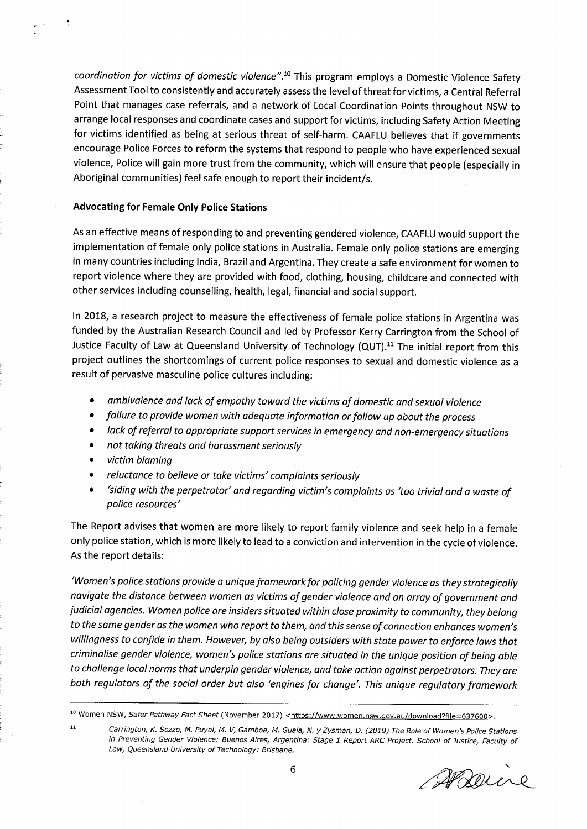coordination for victims of domestic violence".<sup>10</sup> This program employs a Domestic Violence Safety Assessment Tool to consistently and accurately assess the level of threat for victims, a Central Referral Point that manages case referrals, and a network of Local Coordination Points throughout NSW to arrange local responses and coordinate cases and support for victims, including Safety Action Meeting for victims identified as being at serious threat of self-harm. CAAFLU believes that if governments encourage Police Forces to reform the systems that respond to people who have experienced sexual violence, Police will gain more trust from the community, which will ensure that people (especially in Aboriginal communities) feel safe enough to report their incident/s.

## **Advocating for Female Only Police Stations**

As an effective means of responding to and preventing gendered violence, CAAFLU would support the implementation of female only police stations in Australia. Female only police stations are emerging in many countries including India, Brazil and Argentina. They create a safe environment for women to report violence where they are provided with food, clothing, housing, childcare and connected with other services including counselling, health, legal, financial and social support.

In 2018, a research project to measure the effectiveness of female police stations in Argentina was funded by the Australian Research Council and led by Professor Kerry Carrington from the School of Justice Faculty of Law at Queensland University of Technology (QUT).<sup>11</sup> The initial report from this project outlines the shortcomings of current police responses to sexual and domestic violence as a result of pervasive masculine police cultures including:

- ambivalence and lack of empathy toward the victims of domestic and sexual violence
- failure to provide women with adequate information or follow up about the process
- lack of referral to appropriate support services in emergency and non-emergency situations
- not taking threats and harassment seriously
- victim blaming
- reluctance to believe or take victims' complaints seriously
- 'siding with the perpetrator' and regarding victim's complaints as 'too trivial and a waste of police resources'

The Report advises that women are more likely to report family violence and seek help in a female only police station, which is more likely to lead to a conviction and intervention in the cycle of violence. As the report details:

'Women's police, stations provide a unique framework for policing gender violence as they strategically navigate the distance between women as victims of gender violence and an array of government and judicial agencies. Women police are insiders situated within close proximity to community, they belong to the same gender as the women who report to them, and this sense of connection enhances women's willingness to confide in them. However, by also being outsiders with state power to enforce laws that criminalise gender violence, women's police stations are situated in the unique position of being able to challenge local norms that underpin gender violence, and take action against perpetrators. They are both regulators of the social order but also 'engines for change'. This unique regulatory framework

ARoune

<sup>&</sup>lt;sup>10</sup> Women NSW, Safer Pathway Fact Sheet (November 2017) <https://www.women.nsw.gov.au/download?file=637600>.

<sup>&</sup>lt;sup>11</sup>Carrington, K. Sozzo, M. Puyol, M. V, Gamboa, M. Guala, N. y Zysman, D. (2019) The Role of Women's Police Stations in Preventing Gender Violence: Buenos Aires, Argentina: Stage 1 Report ARC Project. School of Justice, Faculty of Law, Queensland University of Technology: Brisbane.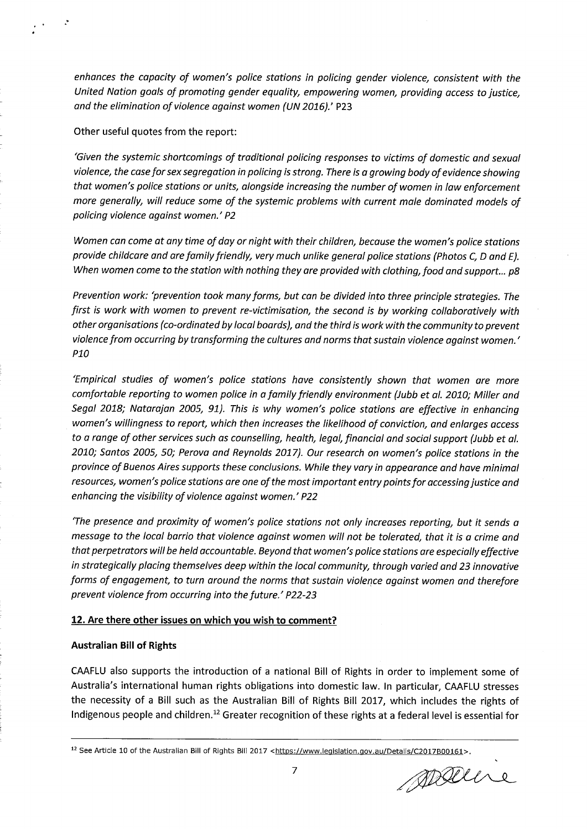enhances the capacity of women's police stations in policing gender violence, consistent with the United Nation goals of promoting gender equality, empowering women, providing access to justice, and the elimination of violence against women (UN 2016).' P23

Other useful quotes from the report:

'Given the systemic shortcomings of traditional policing responses to victims of domestic and sexual violence, the case for sex segregation in policing is strong. There is a growing body of evidence showing that women's police stations or units, alongside increasing the number of women in law enforcement more generally, will reduce some of the systemic problems with current male dominated models of policing violence against women.' P2

Women can come at any time of day or night with their children, because the women's police stations provide childcare and are family friendly, very much unlike general police stations (Photos C, D and E). When women come to the station with nothing they are provided with clothing, food and support... p8

Prevention work: 'prevention took many forms, but can be divided into three principle strategies. The first is work with women to prevent re-victimisation, the second is by working collaboratively with other organisations (co-ordinated by local boards), and the third is work with the community to prevent violence from occurring by transforming the cultures and norms that sustain violence against women.' P10

'Empirical studies of women's police stations have consistently shown that women are more comfortable reporting to women police in a family friendly environment (Jubb et al. 2010; Miller and Segal 2018; Natarajan 2005, 91). This is why women's police stations are effective in enhancing women's willingness to report, which then increases the likelihood of conviction, and enlarges access to a range of other services such as counselling, health, legal, financial and social support (Jubb et al. 2010; Santos 2005, 50; Perova and Reynolds 2017). Our research on women's police stations in the province of Buenos Aires supports these conclusions. While they vary in appearance and have minimal resources, women's police stations are one of the most important entry points for accessing justice and enhancing the visibility of violence against women.' P22

'The presence and proximity of women's police stations not only increases reporting, but it sends a message to the local barrio that violence against women will not be tolerated, that it is a crime and that perpetrators will be held accountable. Beyond that women's police stations are especially effective in strategically placing themselves deep within the local community, through varied and 23 innovative forms of engagement, to turn around the norms that sustain violence against women and therefore prevent violence from occurring into the future.' P22-23

# **12. Are there other issues on which you wish to comment?**

# **Australian Bill of Rights**

CAAFLU also supports the introduction of a national Bill of Rights in order to implement some of Australia's international human rights obligations into domestic law. In particular, CAAFLU stresses the necessity of a Bill such as the Australian Bill of Rights Bill 2017, which includes the rights of Indigenous people and children.<sup>12</sup> Greater recognition of these rights at a federal level is essential for

ppare

<sup>&</sup>lt;sup>12</sup> See Article 10 of the Australian Bill of Rights Bill 2017 <https://www.legislation.gov.au/Details/C2017B00161>.